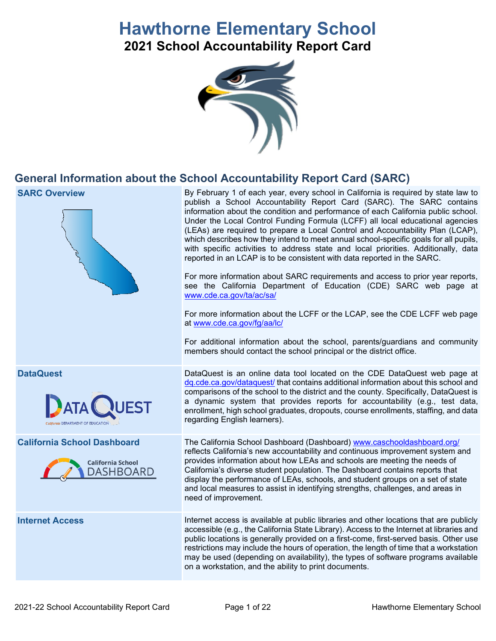# **Hawthorne Elementary School**

**2021 School Accountability Report Card**



# **General Information about the School Accountability Report Card (SARC)**

| <b>SARC Overview</b>                                                               | By February 1 of each year, every school in California is required by state law to<br>publish a School Accountability Report Card (SARC). The SARC contains<br>information about the condition and performance of each California public school.<br>Under the Local Control Funding Formula (LCFF) all local educational agencies<br>(LEAs) are required to prepare a Local Control and Accountability Plan (LCAP),<br>which describes how they intend to meet annual school-specific goals for all pupils,<br>with specific activities to address state and local priorities. Additionally, data<br>reported in an LCAP is to be consistent with data reported in the SARC.<br>For more information about SARC requirements and access to prior year reports,<br>see the California Department of Education (CDE) SARC web page at<br>www.cde.ca.gov/ta/ac/sa/<br>For more information about the LCFF or the LCAP, see the CDE LCFF web page<br>at www.cde.ca.gov/fg/aa/lc/<br>For additional information about the school, parents/guardians and community<br>members should contact the school principal or the district office. |
|------------------------------------------------------------------------------------|-------------------------------------------------------------------------------------------------------------------------------------------------------------------------------------------------------------------------------------------------------------------------------------------------------------------------------------------------------------------------------------------------------------------------------------------------------------------------------------------------------------------------------------------------------------------------------------------------------------------------------------------------------------------------------------------------------------------------------------------------------------------------------------------------------------------------------------------------------------------------------------------------------------------------------------------------------------------------------------------------------------------------------------------------------------------------------------------------------------------------------------|
| <b>DataQuest</b><br><b>ATA NUEST</b>                                               | DataQuest is an online data tool located on the CDE DataQuest web page at<br>dq.cde.ca.gov/dataquest/ that contains additional information about this school and<br>comparisons of the school to the district and the county. Specifically, DataQuest is<br>a dynamic system that provides reports for accountability (e.g., test data,<br>enrollment, high school graduates, dropouts, course enrollments, staffing, and data<br>regarding English learners).                                                                                                                                                                                                                                                                                                                                                                                                                                                                                                                                                                                                                                                                      |
| <b>California School Dashboard</b><br><b>California School</b><br><b>DASHBOARD</b> | The California School Dashboard (Dashboard) www.caschooldashboard.org/<br>reflects California's new accountability and continuous improvement system and<br>provides information about how LEAs and schools are meeting the needs of<br>California's diverse student population. The Dashboard contains reports that<br>display the performance of LEAs, schools, and student groups on a set of state<br>and local measures to assist in identifying strengths, challenges, and areas in<br>need of improvement.                                                                                                                                                                                                                                                                                                                                                                                                                                                                                                                                                                                                                   |
| <b>Internet Access</b>                                                             | Internet access is available at public libraries and other locations that are publicly<br>accessible (e.g., the California State Library). Access to the Internet at libraries and<br>public locations is generally provided on a first-come, first-served basis. Other use<br>restrictions may include the hours of operation, the length of time that a workstation<br>may be used (depending on availability), the types of software programs available<br>on a workstation, and the ability to print documents.                                                                                                                                                                                                                                                                                                                                                                                                                                                                                                                                                                                                                 |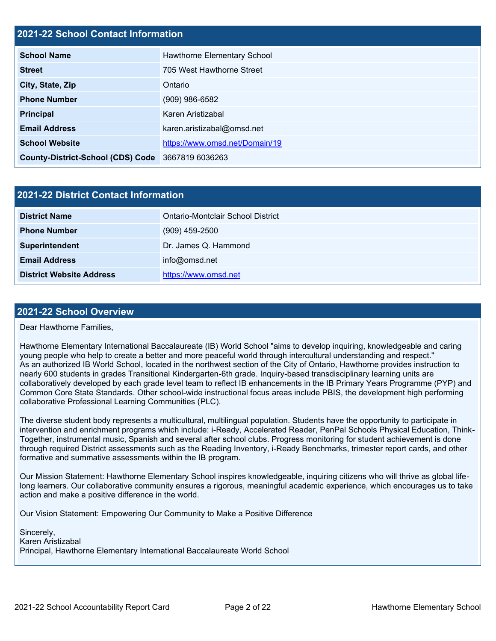#### **2021-22 School Contact Information**

| <b>School Name</b>                       | Hawthorne Elementary School    |
|------------------------------------------|--------------------------------|
| <b>Street</b>                            | 705 West Hawthorne Street      |
| City, State, Zip                         | Ontario                        |
| <b>Phone Number</b>                      | $(909)$ 986-6582               |
| <b>Principal</b>                         | Karen Aristizabal              |
| <b>Email Address</b>                     | karen.aristizabal@omsd.net     |
| <b>School Website</b>                    | https://www.omsd.net/Domain/19 |
| <b>County-District-School (CDS) Code</b> | 3667819 6036263                |

| 2021-22 District Contact Information |                                   |  |  |
|--------------------------------------|-----------------------------------|--|--|
| <b>District Name</b>                 | Ontario-Montclair School District |  |  |
| <b>Phone Number</b>                  | $(909)$ 459-2500                  |  |  |
| Superintendent                       | Dr. James Q. Hammond              |  |  |
| <b>Email Address</b>                 | info@omsd.net                     |  |  |
| <b>District Website Address</b>      | https://www.omsd.net              |  |  |

#### **2021-22 School Overview**

Dear Hawthorne Families,

Hawthorne Elementary International Baccalaureate (IB) World School "aims to develop inquiring, knowledgeable and caring young people who help to create a better and more peaceful world through intercultural understanding and respect." As an authorized IB World School, located in the northwest section of the City of Ontario, Hawthorne provides instruction to nearly 600 students in grades Transitional Kindergarten-6th grade. Inquiry-based transdisciplinary learning units are collaboratively developed by each grade level team to reflect IB enhancements in the IB Primary Years Programme (PYP) and Common Core State Standards. Other school-wide instructional focus areas include PBIS, the development high performing collaborative Professional Learning Communities (PLC).

The diverse student body represents a multicultural, multilingual population. Students have the opportunity to participate in intervention and enrichment programs which include: i-Ready, Accelerated Reader, PenPal Schools Physical Education, Think-Together, instrumental music, Spanish and several after school clubs. Progress monitoring for student achievement is done through required District assessments such as the Reading Inventory, i-Ready Benchmarks, trimester report cards, and other formative and summative assessments within the IB program.

Our Mission Statement: Hawthorne Elementary School inspires knowledgeable, inquiring citizens who will thrive as global lifelong learners. Our collaborative community ensures a rigorous, meaningful academic experience, which encourages us to take action and make a positive difference in the world.

Our Vision Statement: Empowering Our Community to Make a Positive Difference

Sincerely, Karen Aristizabal Principal, Hawthorne Elementary International Baccalaureate World School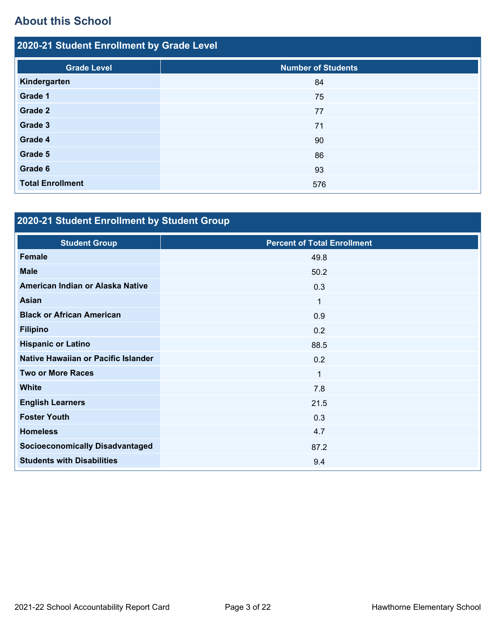# **About this School**

| 2020-21 Student Enrollment by Grade Level |                           |  |  |  |
|-------------------------------------------|---------------------------|--|--|--|
| <b>Grade Level</b>                        | <b>Number of Students</b> |  |  |  |
| Kindergarten                              | 84                        |  |  |  |
| Grade 1                                   | 75                        |  |  |  |
| Grade 2                                   | 77                        |  |  |  |
| Grade 3                                   | 71                        |  |  |  |
| Grade 4                                   | 90                        |  |  |  |
| Grade 5                                   | 86                        |  |  |  |
| Grade 6                                   | 93                        |  |  |  |
| <b>Total Enrollment</b>                   | 576                       |  |  |  |

# **2020-21 Student Enrollment by Student Group**

| <b>Student Group</b>                   | <b>Percent of Total Enrollment</b> |
|----------------------------------------|------------------------------------|
| Female                                 | 49.8                               |
| <b>Male</b>                            | 50.2                               |
| American Indian or Alaska Native       | 0.3                                |
| <b>Asian</b>                           | $\mathbf 1$                        |
| <b>Black or African American</b>       | 0.9                                |
| <b>Filipino</b>                        | 0.2                                |
| <b>Hispanic or Latino</b>              | 88.5                               |
| Native Hawaiian or Pacific Islander    | 0.2                                |
| <b>Two or More Races</b>               | $\mathbf{1}$                       |
| <b>White</b>                           | 7.8                                |
| <b>English Learners</b>                | 21.5                               |
| <b>Foster Youth</b>                    | 0.3                                |
| <b>Homeless</b>                        | 4.7                                |
| <b>Socioeconomically Disadvantaged</b> | 87.2                               |
| <b>Students with Disabilities</b>      | 9.4                                |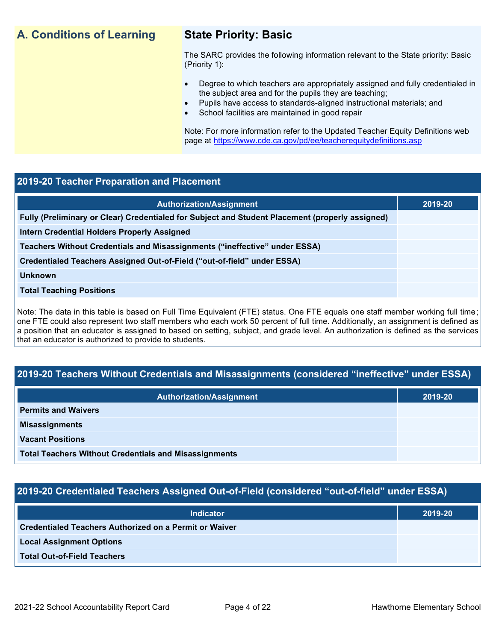# **A. Conditions of Learning State Priority: Basic**

The SARC provides the following information relevant to the State priority: Basic (Priority 1):

- Degree to which teachers are appropriately assigned and fully credentialed in the subject area and for the pupils they are teaching;
	- Pupils have access to standards-aligned instructional materials; and
- School facilities are maintained in good repair

Note: For more information refer to the Updated Teacher Equity Definitions web page at<https://www.cde.ca.gov/pd/ee/teacherequitydefinitions.asp>

#### **2019-20 Teacher Preparation and Placement**

| <b>Authorization/Assignment</b>                                                                 | 2019-20 |
|-------------------------------------------------------------------------------------------------|---------|
| Fully (Preliminary or Clear) Credentialed for Subject and Student Placement (properly assigned) |         |
| <b>Intern Credential Holders Properly Assigned</b>                                              |         |
| Teachers Without Credentials and Misassignments ("ineffective" under ESSA)                      |         |
| Credentialed Teachers Assigned Out-of-Field ("out-of-field" under ESSA)                         |         |
| <b>Unknown</b>                                                                                  |         |
| <b>Total Teaching Positions</b>                                                                 |         |
|                                                                                                 |         |

Note: The data in this table is based on Full Time Equivalent (FTE) status. One FTE equals one staff member working full time; one FTE could also represent two staff members who each work 50 percent of full time. Additionally, an assignment is defined as a position that an educator is assigned to based on setting, subject, and grade level. An authorization is defined as the services that an educator is authorized to provide to students.

# **2019-20 Teachers Without Credentials and Misassignments (considered "ineffective" under ESSA)**

| <b>Authorization/Assignment</b>                              | 2019-20 |
|--------------------------------------------------------------|---------|
| <b>Permits and Waivers</b>                                   |         |
| <b>Misassignments</b>                                        |         |
| <b>Vacant Positions</b>                                      |         |
| <b>Total Teachers Without Credentials and Misassignments</b> |         |

# **2019-20 Credentialed Teachers Assigned Out-of-Field (considered "out-of-field" under ESSA)**

| <b>Indicator</b>                                       | 2019-20 |
|--------------------------------------------------------|---------|
| Credentialed Teachers Authorized on a Permit or Waiver |         |
| <b>Local Assignment Options</b>                        |         |
| <b>Total Out-of-Field Teachers</b>                     |         |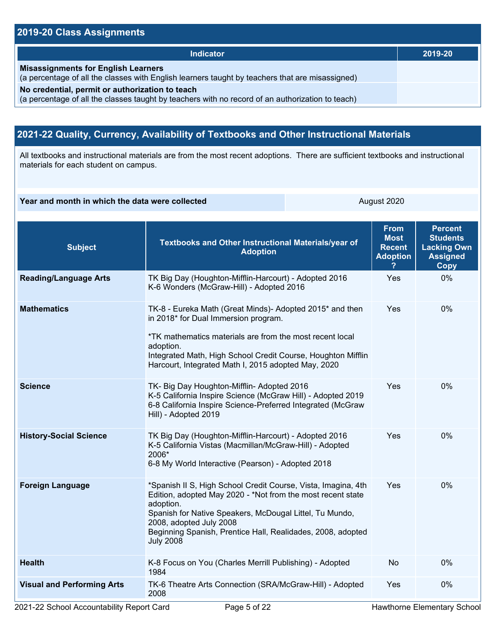#### **2019-20 Class Assignments**

| <b>Indicator</b>                                                                                                                                    | 2019-20 |
|-----------------------------------------------------------------------------------------------------------------------------------------------------|---------|
| <b>Misassignments for English Learners</b><br>(a percentage of all the classes with English learners taught by teachers that are misassigned)       |         |
| No credential, permit or authorization to teach<br>(a percentage of all the classes taught by teachers with no record of an authorization to teach) |         |

# **2021-22 Quality, Currency, Availability of Textbooks and Other Instructional Materials**

All textbooks and instructional materials are from the most recent adoptions. There are sufficient textbooks and instructional materials for each student on campus.

**Year and month in which the data were collected** August 2020

| <b>Subject</b>                    | <b>Textbooks and Other Instructional Materials/year of</b><br><b>Adoption</b>                                                                                                                                                                                                                                      | <b>From</b><br><b>Most</b><br><b>Recent</b><br><b>Adoption</b> | <b>Percent</b><br><b>Students</b><br><b>Lacking Own</b><br><b>Assigned</b><br><b>Copy</b> |
|-----------------------------------|--------------------------------------------------------------------------------------------------------------------------------------------------------------------------------------------------------------------------------------------------------------------------------------------------------------------|----------------------------------------------------------------|-------------------------------------------------------------------------------------------|
| <b>Reading/Language Arts</b>      | TK Big Day (Houghton-Mifflin-Harcourt) - Adopted 2016<br>K-6 Wonders (McGraw-Hill) - Adopted 2016                                                                                                                                                                                                                  | Yes                                                            | 0%                                                                                        |
| <b>Mathematics</b>                | TK-8 - Eureka Math (Great Minds)- Adopted 2015* and then<br>in 2018* for Dual Immersion program.<br>*TK mathematics materials are from the most recent local<br>adoption.<br>Integrated Math, High School Credit Course, Houghton Mifflin<br>Harcourt, Integrated Math I, 2015 adopted May, 2020                   |                                                                | 0%                                                                                        |
| <b>Science</b>                    | TK- Big Day Houghton-Mifflin- Adopted 2016<br>K-5 California Inspire Science (McGraw Hill) - Adopted 2019<br>6-8 California Inspire Science-Preferred Integrated (McGraw<br>Hill) - Adopted 2019                                                                                                                   | Yes                                                            | 0%                                                                                        |
| <b>History-Social Science</b>     | TK Big Day (Houghton-Mifflin-Harcourt) - Adopted 2016<br>K-5 California Vistas (Macmillan/McGraw-Hill) - Adopted<br>2006*<br>6-8 My World Interactive (Pearson) - Adopted 2018                                                                                                                                     | <b>Yes</b>                                                     | 0%                                                                                        |
| <b>Foreign Language</b>           | *Spanish II S, High School Credit Course, Vista, Imagina, 4th<br>Edition, adopted May 2020 - *Not from the most recent state<br>adoption.<br>Spanish for Native Speakers, McDougal Littel, Tu Mundo,<br>2008, adopted July 2008<br>Beginning Spanish, Prentice Hall, Realidades, 2008, adopted<br><b>July 2008</b> | Yes                                                            | 0%                                                                                        |
| <b>Health</b>                     | K-8 Focus on You (Charles Merrill Publishing) - Adopted<br>1984                                                                                                                                                                                                                                                    | <b>No</b>                                                      | 0%                                                                                        |
| <b>Visual and Performing Arts</b> | TK-6 Theatre Arts Connection (SRA/McGraw-Hill) - Adopted<br>2008                                                                                                                                                                                                                                                   | Yes                                                            | 0%                                                                                        |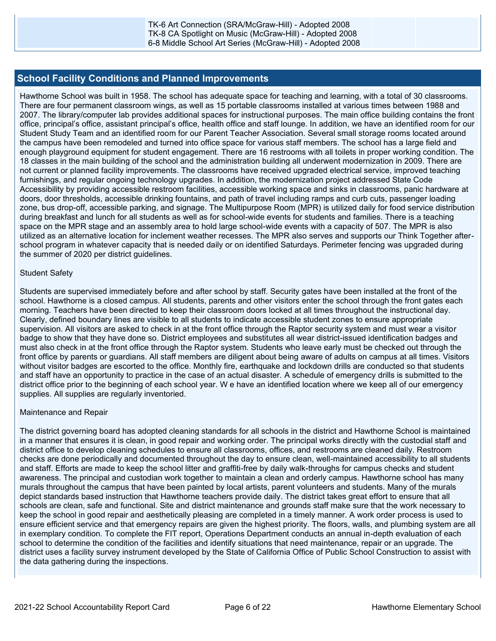#### **School Facility Conditions and Planned Improvements**

Hawthorne School was built in 1958. The school has adequate space for teaching and learning, with a total of 30 classrooms. There are four permanent classroom wings, as well as 15 portable classrooms installed at various times between 1988 and 2007. The library/computer lab provides additional spaces for instructional purposes. The main office building contains the front office, principal's office, assistant principal's office, health office and staff lounge. In addition, we have an identified room for our Student Study Team and an identified room for our Parent Teacher Association. Several small storage rooms located around the campus have been remodeled and turned into office space for various staff members. The school has a large field and enough playground equipment for student engagement. There are 16 restrooms with all toilets in proper working condition. The 18 classes in the main building of the school and the administration building all underwent modernization in 2009. There are not current or planned facility improvements. The classrooms have received upgraded electrical service, improved teaching furnishings, and regular ongoing technology upgrades. In addition, the modernization project addressed State Code Accessibility by providing accessible restroom facilities, accessible working space and sinks in classrooms, panic hardware at doors, door thresholds, accessible drinking fountains, and path of travel including ramps and curb cuts, passenger loading zone, bus drop-off, accessible parking, and signage. The Multipurpose Room (MPR) is utilized daily for food service distribution during breakfast and lunch for all students as well as for school-wide events for students and families. There is a teaching space on the MPR stage and an assembly area to hold large school-wide events with a capacity of 507. The MPR is also utilized as an alternative location for inclement weather recesses. The MPR also serves and supports our Think Together afterschool program in whatever capacity that is needed daily or on identified Saturdays. Perimeter fencing was upgraded during the summer of 2020 per district guidelines.

#### Student Safety

Students are supervised immediately before and after school by staff. Security gates have been installed at the front of the school. Hawthorne is a closed campus. All students, parents and other visitors enter the school through the front gates each morning. Teachers have been directed to keep their classroom doors locked at all times throughout the instructional day. Clearly, defined boundary lines are visible to all students to indicate accessible student zones to ensure appropriate supervision. All visitors are asked to check in at the front office through the Raptor security system and must wear a visitor badge to show that they have done so. District employees and substitutes all wear district-issued identification badges and must also check in at the front office through the Raptor system. Students who leave early must be checked out through the front office by parents or guardians. All staff members are diligent about being aware of adults on campus at all times. Visitors without visitor badges are escorted to the office. Monthly fire, earthquake and lockdown drills are conducted so that students and staff have an opportunity to practice in the case of an actual disaster. A schedule of emergency drills is submitted to the district office prior to the beginning of each school year. W e have an identified location where we keep all of our emergency supplies. All supplies are regularly inventoried.

#### Maintenance and Repair

The district governing board has adopted cleaning standards for all schools in the district and Hawthorne School is maintained in a manner that ensures it is clean, in good repair and working order. The principal works directly with the custodial staff and district office to develop cleaning schedules to ensure all classrooms, offices, and restrooms are cleaned daily. Restroom checks are done periodically and documented throughout the day to ensure clean, well-maintained accessibility to all students and staff. Efforts are made to keep the school litter and graffiti-free by daily walk-throughs for campus checks and student awareness. The principal and custodian work together to maintain a clean and orderly campus. Hawthorne school has many murals throughout the campus that have been painted by local artists, parent volunteers and students. Many of the murals depict standards based instruction that Hawthorne teachers provide daily. The district takes great effort to ensure that all schools are clean, safe and functional. Site and district maintenance and grounds staff make sure that the work necessary to keep the school in good repair and aesthetically pleasing are completed in a timely manner. A work order process is used to ensure efficient service and that emergency repairs are given the highest priority. The floors, walls, and plumbing system are all in exemplary condition. To complete the FIT report, Operations Department conducts an annual in-depth evaluation of each school to determine the condition of the facilities and identify situations that need maintenance, repair or an upgrade. The district uses a facility survey instrument developed by the State of California Office of Public School Construction to assist with the data gathering during the inspections.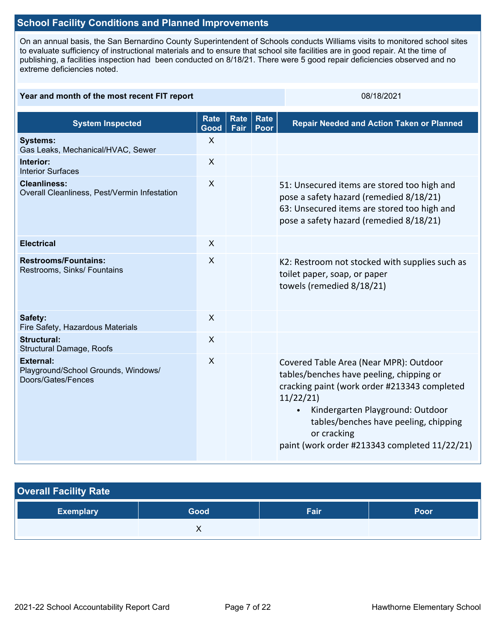#### **School Facility Conditions and Planned Improvements**

On an annual basis, the San Bernardino County Superintendent of Schools conducts Williams visits to monitored school sites to evaluate sufficiency of instructional materials and to ensure that school site facilities are in good repair. At the time of publishing, a facilities inspection had been conducted on 8/18/21. There were 5 good repair deficiencies observed and no extreme deficiencies noted.

#### **Year and month of the most recent FIT report** 08/18/2021 08/18/2021 **System Inspected Rate Good Rate Fair Rate Poor Repair Needed and Action Taken or Planned Systems:** Gas Leaks, Mechanical/HVAC, Sewer X **Interior:** Interior Surfaces X **Cleanliness:** Overall Cleanliness, Pest/Vermin Infestation X 51: Unsecured items are stored too high and pose a safety hazard (remedied 8/18/21) 63: Unsecured items are stored too high and pose a safety hazard (remedied 8/18/21) **Electrical** X **Restrooms/Fountains:** Restrooms, Sinks/ Fountains X K2: Restroom not stocked with supplies such as toilet paper, soap, or paper towels (remedied 8/18/21) **Safety:** Fire Safety, Hazardous Materials X **Structural:** Structural Damage, Roofs X **External:** Playground/School Grounds, Windows/ Doors/Gates/Fences X Covered Table Area (Near MPR): Outdoor tables/benches have peeling, chipping or cracking paint (work order #213343 completed 11/22/21) • Kindergarten Playground: Outdoor tables/benches have peeling, chipping or cracking paint (work order #213343 completed 11/22/21)

| <b>Overall Facility Rate</b> |      |      |      |  |
|------------------------------|------|------|------|--|
| <b>Exemplary</b>             | Good | Fair | Poor |  |
|                              |      |      |      |  |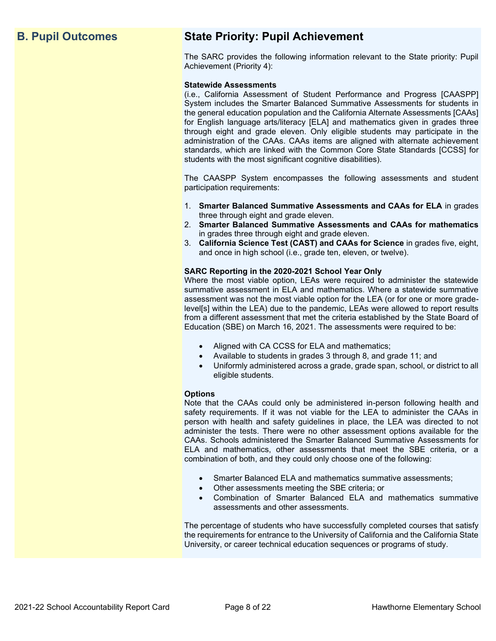# **B. Pupil Outcomes State Priority: Pupil Achievement**

The SARC provides the following information relevant to the State priority: Pupil Achievement (Priority 4):

#### **Statewide Assessments**

(i.e., California Assessment of Student Performance and Progress [CAASPP] System includes the Smarter Balanced Summative Assessments for students in the general education population and the California Alternate Assessments [CAAs] for English language arts/literacy [ELA] and mathematics given in grades three through eight and grade eleven. Only eligible students may participate in the administration of the CAAs. CAAs items are aligned with alternate achievement standards, which are linked with the Common Core State Standards [CCSS] for students with the most significant cognitive disabilities).

The CAASPP System encompasses the following assessments and student participation requirements:

- 1. **Smarter Balanced Summative Assessments and CAAs for ELA** in grades three through eight and grade eleven.
- 2. **Smarter Balanced Summative Assessments and CAAs for mathematics** in grades three through eight and grade eleven.
- 3. **California Science Test (CAST) and CAAs for Science** in grades five, eight, and once in high school (i.e., grade ten, eleven, or twelve).

#### **SARC Reporting in the 2020-2021 School Year Only**

Where the most viable option, LEAs were required to administer the statewide summative assessment in ELA and mathematics. Where a statewide summative assessment was not the most viable option for the LEA (or for one or more gradelevel[s] within the LEA) due to the pandemic, LEAs were allowed to report results from a different assessment that met the criteria established by the State Board of Education (SBE) on March 16, 2021. The assessments were required to be:

- Aligned with CA CCSS for ELA and mathematics;
- Available to students in grades 3 through 8, and grade 11; and
- Uniformly administered across a grade, grade span, school, or district to all eligible students.

#### **Options**

Note that the CAAs could only be administered in-person following health and safety requirements. If it was not viable for the LEA to administer the CAAs in person with health and safety guidelines in place, the LEA was directed to not administer the tests. There were no other assessment options available for the CAAs. Schools administered the Smarter Balanced Summative Assessments for ELA and mathematics, other assessments that meet the SBE criteria, or a combination of both, and they could only choose one of the following:

- Smarter Balanced ELA and mathematics summative assessments;
- Other assessments meeting the SBE criteria; or
- Combination of Smarter Balanced ELA and mathematics summative assessments and other assessments.

The percentage of students who have successfully completed courses that satisfy the requirements for entrance to the University of California and the California State University, or career technical education sequences or programs of study.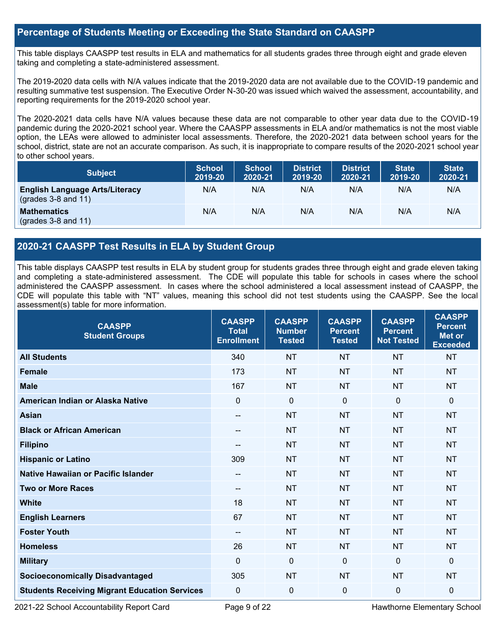### **Percentage of Students Meeting or Exceeding the State Standard on CAASPP**

This table displays CAASPP test results in ELA and mathematics for all students grades three through eight and grade eleven taking and completing a state-administered assessment.

The 2019-2020 data cells with N/A values indicate that the 2019-2020 data are not available due to the COVID-19 pandemic and resulting summative test suspension. The Executive Order N-30-20 was issued which waived the assessment, accountability, and reporting requirements for the 2019-2020 school year.

The 2020-2021 data cells have N/A values because these data are not comparable to other year data due to the COVID-19 pandemic during the 2020-2021 school year. Where the CAASPP assessments in ELA and/or mathematics is not the most viable option, the LEAs were allowed to administer local assessments. Therefore, the 2020-2021 data between school years for the school, district, state are not an accurate comparison. As such, it is inappropriate to compare results of the 2020-2021 school year to other school years.

| <b>Subject</b>                                                 | <b>School</b><br>2019-20 | <b>School</b><br>2020-21 | <b>District</b><br>2019-20 | <b>District</b><br>2020-21 | <b>State</b><br>2019-20 | <b>State</b><br>2020-21 |
|----------------------------------------------------------------|--------------------------|--------------------------|----------------------------|----------------------------|-------------------------|-------------------------|
| <b>English Language Arts/Literacy</b><br>$(grades 3-8 and 11)$ | N/A                      | N/A                      | N/A                        | N/A                        | N/A                     | N/A                     |
| <b>Mathematics</b><br>$(grades 3-8 and 11)$                    | N/A                      | N/A                      | N/A                        | N/A                        | N/A                     | N/A                     |

## **2020-21 CAASPP Test Results in ELA by Student Group**

This table displays CAASPP test results in ELA by student group for students grades three through eight and grade eleven taking and completing a state-administered assessment. The CDE will populate this table for schools in cases where the school administered the CAASPP assessment. In cases where the school administered a local assessment instead of CAASPP, the CDE will populate this table with "NT" values, meaning this school did not test students using the CAASPP. See the local assessment(s) table for more information.

| <b>CAASPP</b><br><b>Student Groups</b>               | <b>CAASPP</b><br><b>Total</b><br><b>Enrollment</b> | <b>CAASPP</b><br><b>Number</b><br><b>Tested</b> | <b>CAASPP</b><br><b>Percent</b><br><b>Tested</b> | <b>CAASPP</b><br><b>Percent</b><br><b>Not Tested</b> | <b>CAASPP</b><br><b>Percent</b><br><b>Met or</b><br><b>Exceeded</b> |
|------------------------------------------------------|----------------------------------------------------|-------------------------------------------------|--------------------------------------------------|------------------------------------------------------|---------------------------------------------------------------------|
| <b>All Students</b>                                  | 340                                                | <b>NT</b>                                       | <b>NT</b>                                        | <b>NT</b>                                            | <b>NT</b>                                                           |
| <b>Female</b>                                        | 173                                                | <b>NT</b>                                       | <b>NT</b>                                        | <b>NT</b>                                            | <b>NT</b>                                                           |
| <b>Male</b>                                          | 167                                                | <b>NT</b>                                       | <b>NT</b>                                        | <b>NT</b>                                            | <b>NT</b>                                                           |
| American Indian or Alaska Native                     | $\mathbf 0$                                        | $\mathbf 0$                                     | $\mathbf 0$                                      | $\mathbf 0$                                          | 0                                                                   |
| <b>Asian</b>                                         | $\overline{\phantom{a}}$                           | <b>NT</b>                                       | <b>NT</b>                                        | <b>NT</b>                                            | <b>NT</b>                                                           |
| <b>Black or African American</b>                     | --                                                 | <b>NT</b>                                       | <b>NT</b>                                        | <b>NT</b>                                            | <b>NT</b>                                                           |
| <b>Filipino</b>                                      |                                                    | <b>NT</b>                                       | <b>NT</b>                                        | <b>NT</b>                                            | <b>NT</b>                                                           |
| <b>Hispanic or Latino</b>                            | 309                                                | <b>NT</b>                                       | <b>NT</b>                                        | <b>NT</b>                                            | <b>NT</b>                                                           |
| Native Hawaiian or Pacific Islander                  | --                                                 | <b>NT</b>                                       | <b>NT</b>                                        | <b>NT</b>                                            | <b>NT</b>                                                           |
| <b>Two or More Races</b>                             | $\qquad \qquad -$                                  | <b>NT</b>                                       | <b>NT</b>                                        | <b>NT</b>                                            | <b>NT</b>                                                           |
| <b>White</b>                                         | 18                                                 | <b>NT</b>                                       | <b>NT</b>                                        | <b>NT</b>                                            | <b>NT</b>                                                           |
| <b>English Learners</b>                              | 67                                                 | <b>NT</b>                                       | <b>NT</b>                                        | <b>NT</b>                                            | <b>NT</b>                                                           |
| <b>Foster Youth</b>                                  | $\overline{\phantom{a}}$                           | <b>NT</b>                                       | <b>NT</b>                                        | <b>NT</b>                                            | <b>NT</b>                                                           |
| <b>Homeless</b>                                      | 26                                                 | <b>NT</b>                                       | <b>NT</b>                                        | <b>NT</b>                                            | <b>NT</b>                                                           |
| <b>Military</b>                                      | $\mathbf 0$                                        | $\mathbf 0$                                     | $\mathbf{0}$                                     | $\mathbf 0$                                          | $\mathbf{0}$                                                        |
| <b>Socioeconomically Disadvantaged</b>               | 305                                                | <b>NT</b>                                       | <b>NT</b>                                        | <b>NT</b>                                            | <b>NT</b>                                                           |
| <b>Students Receiving Migrant Education Services</b> | 0                                                  | 0                                               | 0                                                | $\mathbf 0$                                          | 0                                                                   |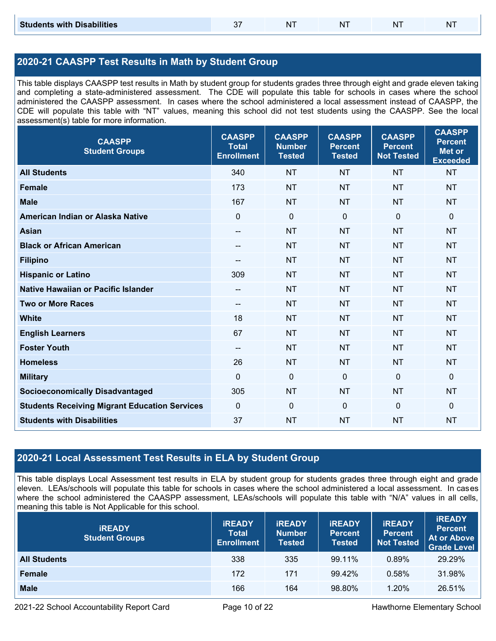## **2020-21 CAASPP Test Results in Math by Student Group**

This table displays CAASPP test results in Math by student group for students grades three through eight and grade eleven taking and completing a state-administered assessment. The CDE will populate this table for schools in cases where the school administered the CAASPP assessment. In cases where the school administered a local assessment instead of CAASPP, the CDE will populate this table with "NT" values, meaning this school did not test students using the CAASPP. See the local assessment(s) table for more information.

| <b>CAASPP</b><br><b>Student Groups</b>               | <b>CAASPP</b><br><b>Total</b><br><b>Enrollment</b> | <b>CAASPP</b><br><b>Number</b><br><b>Tested</b> | <b>CAASPP</b><br><b>Percent</b><br><b>Tested</b> | <b>CAASPP</b><br><b>Percent</b><br><b>Not Tested</b> | <b>CAASPP</b><br><b>Percent</b><br><b>Met or</b><br><b>Exceeded</b> |
|------------------------------------------------------|----------------------------------------------------|-------------------------------------------------|--------------------------------------------------|------------------------------------------------------|---------------------------------------------------------------------|
| <b>All Students</b>                                  | 340                                                | <b>NT</b>                                       | <b>NT</b>                                        | <b>NT</b>                                            | <b>NT</b>                                                           |
| <b>Female</b>                                        | 173                                                | <b>NT</b>                                       | <b>NT</b>                                        | <b>NT</b>                                            | <b>NT</b>                                                           |
| <b>Male</b>                                          | 167                                                | <b>NT</b>                                       | <b>NT</b>                                        | <b>NT</b>                                            | <b>NT</b>                                                           |
| American Indian or Alaska Native                     | $\mathbf 0$                                        | $\mathbf 0$                                     | $\mathbf 0$                                      | $\mathbf 0$                                          | 0                                                                   |
| <b>Asian</b>                                         | $\overline{\phantom{a}}$                           | <b>NT</b>                                       | <b>NT</b>                                        | <b>NT</b>                                            | <b>NT</b>                                                           |
| <b>Black or African American</b>                     | --                                                 | <b>NT</b>                                       | <b>NT</b>                                        | <b>NT</b>                                            | NT                                                                  |
| <b>Filipino</b>                                      | $\qquad \qquad -$                                  | <b>NT</b>                                       | <b>NT</b>                                        | <b>NT</b>                                            | <b>NT</b>                                                           |
| <b>Hispanic or Latino</b>                            | 309                                                | <b>NT</b>                                       | <b>NT</b>                                        | <b>NT</b>                                            | <b>NT</b>                                                           |
| <b>Native Hawaiian or Pacific Islander</b>           | $\qquad \qquad -$                                  | <b>NT</b>                                       | <b>NT</b>                                        | <b>NT</b>                                            | <b>NT</b>                                                           |
| <b>Two or More Races</b>                             | $\overline{\phantom{a}}$                           | <b>NT</b>                                       | <b>NT</b>                                        | <b>NT</b>                                            | <b>NT</b>                                                           |
| <b>White</b>                                         | 18                                                 | <b>NT</b>                                       | <b>NT</b>                                        | <b>NT</b>                                            | <b>NT</b>                                                           |
| <b>English Learners</b>                              | 67                                                 | <b>NT</b>                                       | <b>NT</b>                                        | <b>NT</b>                                            | <b>NT</b>                                                           |
| <b>Foster Youth</b>                                  | $- -$                                              | <b>NT</b>                                       | <b>NT</b>                                        | <b>NT</b>                                            | NT                                                                  |
| <b>Homeless</b>                                      | 26                                                 | <b>NT</b>                                       | <b>NT</b>                                        | <b>NT</b>                                            | <b>NT</b>                                                           |
| <b>Military</b>                                      | $\mathbf 0$                                        | $\boldsymbol{0}$                                | $\mathbf 0$                                      | $\overline{0}$                                       | 0                                                                   |
| <b>Socioeconomically Disadvantaged</b>               | 305                                                | <b>NT</b>                                       | <b>NT</b>                                        | <b>NT</b>                                            | <b>NT</b>                                                           |
| <b>Students Receiving Migrant Education Services</b> | $\mathbf 0$                                        | $\mathbf 0$                                     | $\mathbf{0}$                                     | $\mathbf 0$                                          | 0                                                                   |
| <b>Students with Disabilities</b>                    | 37                                                 | <b>NT</b>                                       | <b>NT</b>                                        | <b>NT</b>                                            | <b>NT</b>                                                           |

### **2020-21 Local Assessment Test Results in ELA by Student Group**

This table displays Local Assessment test results in ELA by student group for students grades three through eight and grade eleven. LEAs/schools will populate this table for schools in cases where the school administered a local assessment. In cases where the school administered the CAASPP assessment, LEAs/schools will populate this table with "N/A" values in all cells, meaning this table is Not Applicable for this school.

| <b>IREADY</b><br><b>Student Groups</b> | <b>IREADY</b><br><b>Total</b><br><b>Enrollment</b> | <b>IREADY</b><br><b>Number</b><br><b>Tested</b> | <b><i>IREADY</i></b><br><b>Percent</b><br><b>Tested</b> | <b>IREADY</b><br><b>Percent</b><br><b>Not Tested</b> | <b>IREADY</b><br><b>Percent</b><br>At or Above<br><b>Grade Level</b> |
|----------------------------------------|----------------------------------------------------|-------------------------------------------------|---------------------------------------------------------|------------------------------------------------------|----------------------------------------------------------------------|
| <b>All Students</b>                    | 338                                                | 335                                             | 99.11%                                                  | $0.89\%$                                             | 29.29%                                                               |
| Female                                 | 172                                                | 171                                             | 99.42%                                                  | 0.58%                                                | 31.98%                                                               |
| <b>Male</b>                            | 166                                                | 164                                             | 98.80%                                                  | 1.20%                                                | 26.51%                                                               |

2021-22 School Accountability Report Card **Page 10 of 22** Hawthorne Elementary School **Page 10** of 22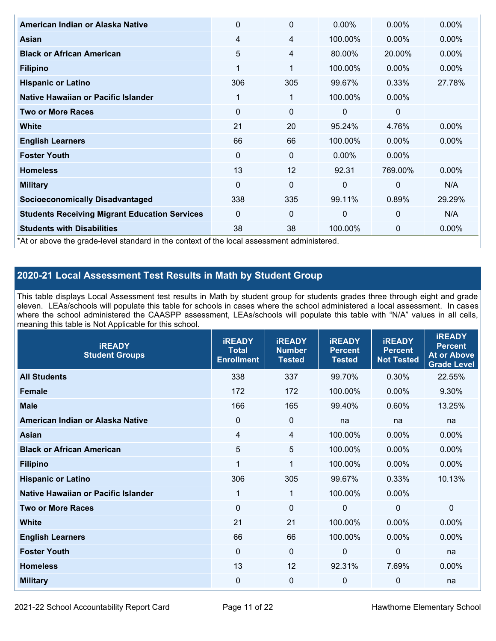| American Indian or Alaska Native                                                           | $\Omega$ | $\mathbf{0}$ | $0.00\%$ | $0.00\%$ | $0.00\%$ |
|--------------------------------------------------------------------------------------------|----------|--------------|----------|----------|----------|
| Asian                                                                                      | 4        | 4            | 100.00%  | 0.00%    | $0.00\%$ |
| <b>Black or African American</b>                                                           | 5        | 4            | 80.00%   | 20.00%   | $0.00\%$ |
| <b>Filipino</b>                                                                            | 1        | 1            | 100.00%  | $0.00\%$ | $0.00\%$ |
| <b>Hispanic or Latino</b>                                                                  | 306      | 305          | 99.67%   | 0.33%    | 27.78%   |
| Native Hawaiian or Pacific Islander                                                        | 1        | 1            | 100.00%  | $0.00\%$ |          |
| <b>Two or More Races</b>                                                                   | $\Omega$ | 0            | $\Omega$ | 0        |          |
| <b>White</b>                                                                               | 21       | 20           | 95.24%   | 4.76%    | $0.00\%$ |
| <b>English Learners</b>                                                                    | 66       | 66           | 100.00%  | $0.00\%$ | 0.00%    |
| <b>Foster Youth</b>                                                                        | $\Omega$ | $\mathbf{0}$ | $0.00\%$ | 0.00%    |          |
| <b>Homeless</b>                                                                            | 13       | 12           | 92.31    | 769.00%  | 0.00%    |
| <b>Military</b>                                                                            | $\Omega$ | 0            | $\Omega$ | $\Omega$ | N/A      |
| <b>Socioeconomically Disadvantaged</b>                                                     | 338      | 335          | 99.11%   | 0.89%    | 29.29%   |
| <b>Students Receiving Migrant Education Services</b>                                       | $\Omega$ | $\mathbf 0$  | $\Omega$ | 0        | N/A      |
| <b>Students with Disabilities</b>                                                          | 38       | 38           | 100.00%  | 0        | 0.00%    |
| *At or above the grade-level standard in the context of the local assessment administered. |          |              |          |          |          |

# **2020-21 Local Assessment Test Results in Math by Student Group**

This table displays Local Assessment test results in Math by student group for students grades three through eight and grade eleven. LEAs/schools will populate this table for schools in cases where the school administered a local assessment. In cases where the school administered the CAASPP assessment, LEAs/schools will populate this table with "N/A" values in all cells, meaning this table is Not Applicable for this school.

| <b>IREADY</b><br><b>Student Groups</b> | <b>IREADY</b><br><b>Total</b><br><b>Enrollment</b> | <b>IREADY</b><br><b>Number</b><br><b>Tested</b> | <b>iREADY</b><br><b>Percent</b><br><b>Tested</b> | <b>IREADY</b><br><b>Percent</b><br><b>Not Tested</b> | <b>IREADY</b><br><b>Percent</b><br><b>At or Above</b><br><b>Grade Level</b> |
|----------------------------------------|----------------------------------------------------|-------------------------------------------------|--------------------------------------------------|------------------------------------------------------|-----------------------------------------------------------------------------|
| <b>All Students</b>                    | 338                                                | 337                                             | 99.70%                                           | 0.30%                                                | 22.55%                                                                      |
| <b>Female</b>                          | 172                                                | 172                                             | 100.00%                                          | $0.00\%$                                             | 9.30%                                                                       |
| <b>Male</b>                            | 166                                                | 165                                             | 99.40%                                           | 0.60%                                                | 13.25%                                                                      |
| American Indian or Alaska Native       | 0                                                  | $\mathbf 0$                                     | na                                               | na                                                   | na                                                                          |
| <b>Asian</b>                           | $\overline{4}$                                     | $\overline{4}$                                  | 100.00%                                          | 0.00%                                                | 0.00%                                                                       |
| <b>Black or African American</b>       | 5                                                  | 5                                               | 100.00%                                          | 0.00%                                                | 0.00%                                                                       |
| <b>Filipino</b>                        | 1                                                  | 1                                               | 100.00%                                          | 0.00%                                                | 0.00%                                                                       |
| <b>Hispanic or Latino</b>              | 306                                                | 305                                             | 99.67%                                           | 0.33%                                                | 10.13%                                                                      |
| Native Hawaiian or Pacific Islander    | 1                                                  | $\mathbf{1}$                                    | 100.00%                                          | 0.00%                                                |                                                                             |
| <b>Two or More Races</b>               | $\mathbf 0$                                        | $\mathbf 0$                                     | 0                                                | $\mathbf 0$                                          | 0                                                                           |
| <b>White</b>                           | 21                                                 | 21                                              | 100.00%                                          | 0.00%                                                | 0.00%                                                                       |
| <b>English Learners</b>                | 66                                                 | 66                                              | 100.00%                                          | 0.00%                                                | 0.00%                                                                       |
| <b>Foster Youth</b>                    | $\mathbf 0$                                        | $\mathbf 0$                                     | $\mathbf{0}$                                     | $\mathbf 0$                                          | na                                                                          |
| <b>Homeless</b>                        | 13                                                 | 12                                              | 92.31%                                           | 7.69%                                                | $0.00\%$                                                                    |
| <b>Military</b>                        | 0                                                  | $\mathbf 0$                                     | 0                                                | $\mathbf 0$                                          | na                                                                          |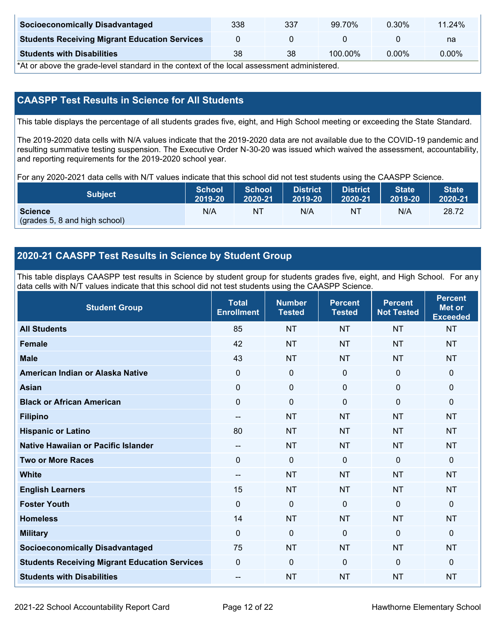| <b>Socioeconomically Disadvantaged</b>               | 338 | 337 | 99.70%  | 0.30% | 11.24%   |
|------------------------------------------------------|-----|-----|---------|-------|----------|
| <b>Students Receiving Migrant Education Services</b> |     |     |         |       | na       |
| <b>Students with Disabilities</b>                    | 38  | 38  | 100.00% | 0.00% | $0.00\%$ |

\*At or above the grade-level standard in the context of the local assessment administered.

## **CAASPP Test Results in Science for All Students**

This table displays the percentage of all students grades five, eight, and High School meeting or exceeding the State Standard.

The 2019-2020 data cells with N/A values indicate that the 2019-2020 data are not available due to the COVID-19 pandemic and resulting summative testing suspension. The Executive Order N-30-20 was issued which waived the assessment, accountability, and reporting requirements for the 2019-2020 school year.

For any 2020-2021 data cells with N/T values indicate that this school did not test students using the CAASPP Science.

| <b>Subject</b>                                  | <b>School</b> | <b>School</b> | <b>District</b> | <b>District</b> | <b>State</b> | <b>State</b> |
|-------------------------------------------------|---------------|---------------|-----------------|-----------------|--------------|--------------|
|                                                 | 2019-20       | 2020-21       | $12019 - 20$    | 2020-21         | 2019-20      | 2020-21      |
| <b>Science</b><br>(grades 5, 8 and high school) | N/A           | NT            | N/A             | NT              | N/A          | 28.72        |

## **2020-21 CAASPP Test Results in Science by Student Group**

This table displays CAASPP test results in Science by student group for students grades five, eight, and High School. For any data cells with N/T values indicate that this school did not test students using the CAASPP Science.

| <b>Student Group</b>                                 | <b>Total</b><br><b>Enrollment</b> | <b>Number</b><br><b>Tested</b> | <b>Percent</b><br><b>Tested</b> | <b>Percent</b><br><b>Not Tested</b> | <b>Percent</b><br><b>Met or</b><br><b>Exceeded</b> |
|------------------------------------------------------|-----------------------------------|--------------------------------|---------------------------------|-------------------------------------|----------------------------------------------------|
| <b>All Students</b>                                  | 85                                | <b>NT</b>                      | <b>NT</b>                       | <b>NT</b>                           | <b>NT</b>                                          |
| <b>Female</b>                                        | 42                                | <b>NT</b>                      | <b>NT</b>                       | <b>NT</b>                           | <b>NT</b>                                          |
| <b>Male</b>                                          | 43                                | <b>NT</b>                      | <b>NT</b>                       | <b>NT</b>                           | <b>NT</b>                                          |
| American Indian or Alaska Native                     | $\mathbf 0$                       | $\mathbf 0$                    | $\mathbf 0$                     | $\mathbf 0$                         | $\mathbf 0$                                        |
| <b>Asian</b>                                         | $\mathbf 0$                       | $\mathbf 0$                    | $\mathbf 0$                     | $\mathbf 0$                         | $\mathbf 0$                                        |
| <b>Black or African American</b>                     | $\mathbf 0$                       | $\mathbf 0$                    | $\mathbf{0}$                    | 0                                   | 0                                                  |
| <b>Filipino</b>                                      | --                                | <b>NT</b>                      | <b>NT</b>                       | <b>NT</b>                           | <b>NT</b>                                          |
| <b>Hispanic or Latino</b>                            | 80                                | <b>NT</b>                      | <b>NT</b>                       | <b>NT</b>                           | <b>NT</b>                                          |
| Native Hawaiian or Pacific Islander                  | --                                | <b>NT</b>                      | <b>NT</b>                       | <b>NT</b>                           | <b>NT</b>                                          |
| <b>Two or More Races</b>                             | $\mathbf 0$                       | $\mathbf 0$                    | $\Omega$                        | $\mathbf 0$                         | $\mathbf{0}$                                       |
| <b>White</b>                                         | $\qquad \qquad -$                 | <b>NT</b>                      | <b>NT</b>                       | <b>NT</b>                           | <b>NT</b>                                          |
| <b>English Learners</b>                              | 15                                | <b>NT</b>                      | <b>NT</b>                       | <b>NT</b>                           | <b>NT</b>                                          |
| <b>Foster Youth</b>                                  | $\mathbf 0$                       | $\mathbf 0$                    | $\mathbf 0$                     | $\mathbf 0$                         | $\mathbf 0$                                        |
| <b>Homeless</b>                                      | 14                                | <b>NT</b>                      | <b>NT</b>                       | <b>NT</b>                           | <b>NT</b>                                          |
| <b>Military</b>                                      | $\mathbf 0$                       | $\mathbf 0$                    | $\Omega$                        | $\mathbf{0}$                        | $\mathbf 0$                                        |
| <b>Socioeconomically Disadvantaged</b>               | 75                                | <b>NT</b>                      | <b>NT</b>                       | <b>NT</b>                           | <b>NT</b>                                          |
| <b>Students Receiving Migrant Education Services</b> | $\mathbf 0$                       | $\mathbf 0$                    | $\Omega$                        | $\mathbf 0$                         | $\Omega$                                           |
| <b>Students with Disabilities</b>                    | --                                | <b>NT</b>                      | <b>NT</b>                       | <b>NT</b>                           | <b>NT</b>                                          |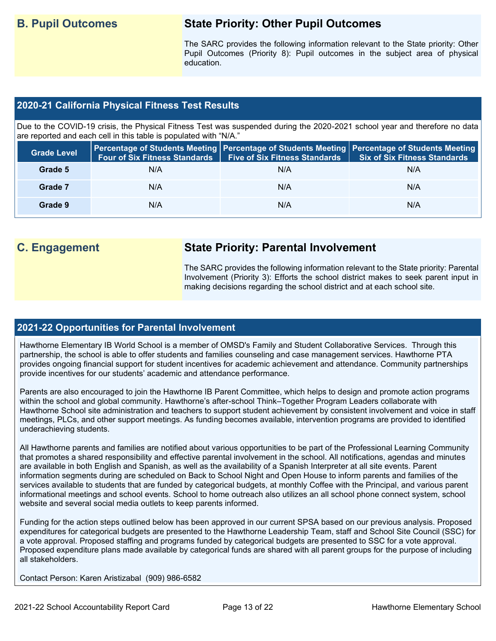# **B. Pupil Outcomes State Priority: Other Pupil Outcomes**

The SARC provides the following information relevant to the State priority: Other Pupil Outcomes (Priority 8): Pupil outcomes in the subject area of physical education.

#### **2020-21 California Physical Fitness Test Results**

Due to the COVID-19 crisis, the Physical Fitness Test was suspended during the 2020-2021 school year and therefore no data are reported and each cell in this table is populated with "N/A."

| <b>Grade Level</b> | <b>Four of Six Fitness Standards</b> | <b>Five of Six Fitness Standards</b> | Percentage of Students Meeting   Percentage of Students Meeting   Percentage of Students Meeting  <br><b>Six of Six Fitness Standards</b> |
|--------------------|--------------------------------------|--------------------------------------|-------------------------------------------------------------------------------------------------------------------------------------------|
| Grade 5            | N/A                                  | N/A                                  | N/A                                                                                                                                       |
| Grade 7            | N/A                                  | N/A                                  | N/A                                                                                                                                       |
| Grade 9            | N/A                                  | N/A                                  | N/A                                                                                                                                       |

# **C. Engagement State Priority: Parental Involvement**

The SARC provides the following information relevant to the State priority: Parental Involvement (Priority 3): Efforts the school district makes to seek parent input in making decisions regarding the school district and at each school site.

#### **2021-22 Opportunities for Parental Involvement**

Hawthorne Elementary IB World School is a member of OMSD's Family and Student Collaborative Services. Through this partnership, the school is able to offer students and families counseling and case management services. Hawthorne PTA provides ongoing financial support for student incentives for academic achievement and attendance. Community partnerships provide incentives for our students' academic and attendance performance.

Parents are also encouraged to join the Hawthorne IB Parent Committee, which helps to design and promote action programs within the school and global community. Hawthorne's after-school Think–Together Program Leaders collaborate with Hawthorne School site administration and teachers to support student achievement by consistent involvement and voice in staff meetings, PLCs, and other support meetings. As funding becomes available, intervention programs are provided to identified underachieving students.

All Hawthorne parents and families are notified about various opportunities to be part of the Professional Learning Community that promotes a shared responsibility and effective parental involvement in the school. All notifications, agendas and minutes are available in both English and Spanish, as well as the availability of a Spanish Interpreter at all site events. Parent information segments during are scheduled on Back to School Night and Open House to inform parents and families of the services available to students that are funded by categorical budgets, at monthly Coffee with the Principal, and various parent informational meetings and school events. School to home outreach also utilizes an all school phone connect system, school website and several social media outlets to keep parents informed.

Funding for the action steps outlined below has been approved in our current SPSA based on our previous analysis. Proposed expenditures for categorical budgets are presented to the Hawthorne Leadership Team, staff and School Site Council (SSC) for a vote approval. Proposed staffing and programs funded by categorical budgets are presented to SSC for a vote approval. Proposed expenditure plans made available by categorical funds are shared with all parent groups for the purpose of including all stakeholders.

Contact Person: Karen Aristizabal (909) 986-6582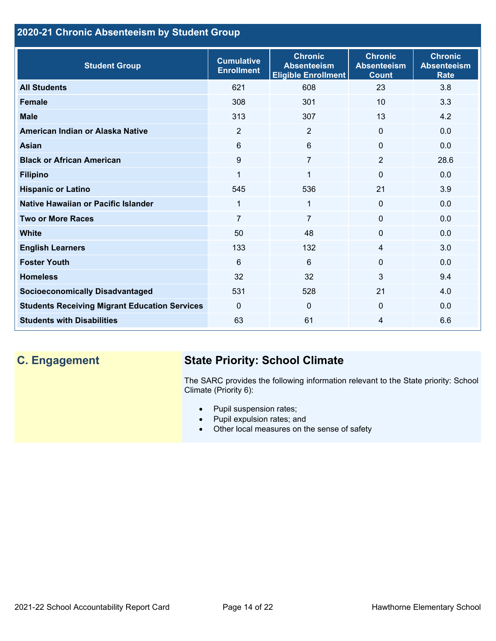# **2020-21 Chronic Absenteeism by Student Group**

| <b>Student Group</b>                                 | <b>Cumulative</b><br><b>Enrollment</b> | <b>Chronic</b><br><b>Absenteeism</b><br><b>Eligible Enrollment</b> | <b>Chronic</b><br><b>Absenteeism</b><br><b>Count</b> | <b>Chronic</b><br><b>Absenteeism</b><br><b>Rate</b> |
|------------------------------------------------------|----------------------------------------|--------------------------------------------------------------------|------------------------------------------------------|-----------------------------------------------------|
| <b>All Students</b>                                  | 621                                    | 608                                                                | 23                                                   | 3.8                                                 |
| <b>Female</b>                                        | 308                                    | 301                                                                | 10                                                   | 3.3                                                 |
| <b>Male</b>                                          | 313                                    | 307                                                                | 13                                                   | 4.2                                                 |
| American Indian or Alaska Native                     | 2                                      | 2                                                                  | $\Omega$                                             | 0.0                                                 |
| <b>Asian</b>                                         | 6                                      | 6                                                                  | $\mathbf{0}$                                         | 0.0                                                 |
| <b>Black or African American</b>                     | 9                                      | $\overline{7}$                                                     | 2                                                    | 28.6                                                |
| <b>Filipino</b>                                      | 1                                      | $\mathbf 1$                                                        | $\mathbf{0}$                                         | 0.0                                                 |
| <b>Hispanic or Latino</b>                            | 545                                    | 536                                                                | 21                                                   | 3.9                                                 |
| Native Hawaiian or Pacific Islander                  | 1                                      | $\mathbf 1$                                                        | $\mathbf 0$                                          | 0.0                                                 |
| <b>Two or More Races</b>                             | $\overline{7}$                         | $\overline{7}$                                                     | $\mathbf 0$                                          | 0.0                                                 |
| <b>White</b>                                         | 50                                     | 48                                                                 | $\mathbf{0}$                                         | 0.0                                                 |
| <b>English Learners</b>                              | 133                                    | 132                                                                | $\overline{4}$                                       | 3.0                                                 |
| <b>Foster Youth</b>                                  | 6                                      | $6\phantom{1}$                                                     | $\Omega$                                             | 0.0                                                 |
| <b>Homeless</b>                                      | 32                                     | 32                                                                 | 3                                                    | 9.4                                                 |
| <b>Socioeconomically Disadvantaged</b>               | 531                                    | 528                                                                | 21                                                   | 4.0                                                 |
| <b>Students Receiving Migrant Education Services</b> | $\mathbf{0}$                           | $\mathbf{0}$                                                       | $\Omega$                                             | 0.0                                                 |
| <b>Students with Disabilities</b>                    | 63                                     | 61                                                                 | 4                                                    | 6.6                                                 |

# **C. Engagement State Priority: School Climate**

The SARC provides the following information relevant to the State priority: School Climate (Priority 6):

- Pupil suspension rates;
- Pupil expulsion rates; and
- Other local measures on the sense of safety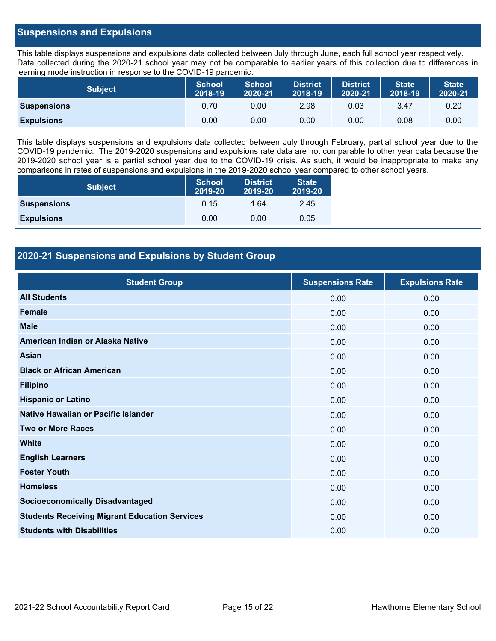#### **Suspensions and Expulsions**

This table displays suspensions and expulsions data collected between July through June, each full school year respectively. Data collected during the 2020-21 school year may not be comparable to earlier years of this collection due to differences in learning mode instruction in response to the COVID-19 pandemic.

| <b>Subject</b>     | <b>School</b><br>2018-19 | <b>School</b><br>2020-21 | <b>District</b><br>2018-19 | <b>District</b><br>2020-21 | <b>State</b><br>2018-19 | <b>State</b><br>2020-21 |
|--------------------|--------------------------|--------------------------|----------------------------|----------------------------|-------------------------|-------------------------|
| <b>Suspensions</b> | 0.70                     | 0.00                     | 2.98                       | 0.03                       | 3.47                    | 0.20                    |
| <b>Expulsions</b>  | 0.00                     | 0.00                     | 0.00                       | 0.00                       | 0.08                    | 0.00                    |

This table displays suspensions and expulsions data collected between July through February, partial school year due to the COVID-19 pandemic. The 2019-2020 suspensions and expulsions rate data are not comparable to other year data because the 2019-2020 school year is a partial school year due to the COVID-19 crisis. As such, it would be inappropriate to make any comparisons in rates of suspensions and expulsions in the 2019-2020 school year compared to other school years.

| <b>Subject</b>     | <b>School</b><br>2019-20 | <b>District</b><br>2019-20 | <b>State</b><br>2019-20 |
|--------------------|--------------------------|----------------------------|-------------------------|
| <b>Suspensions</b> | 0.15                     | 1.64                       | 2.45                    |
| <b>Expulsions</b>  | 0.00                     | 0.00                       | 0.05                    |

### **2020-21 Suspensions and Expulsions by Student Group**

| <b>Student Group</b>                                 | <b>Suspensions Rate</b> | <b>Expulsions Rate</b> |
|------------------------------------------------------|-------------------------|------------------------|
| <b>All Students</b>                                  | 0.00                    | 0.00                   |
| <b>Female</b>                                        | 0.00                    | 0.00                   |
| <b>Male</b>                                          | 0.00                    | 0.00                   |
| American Indian or Alaska Native                     | 0.00                    | 0.00                   |
| <b>Asian</b>                                         | 0.00                    | 0.00                   |
| <b>Black or African American</b>                     | 0.00                    | 0.00                   |
| <b>Filipino</b>                                      | 0.00                    | 0.00                   |
| <b>Hispanic or Latino</b>                            | 0.00                    | 0.00                   |
| Native Hawaiian or Pacific Islander                  | 0.00                    | 0.00                   |
| <b>Two or More Races</b>                             | 0.00                    | 0.00                   |
| <b>White</b>                                         | 0.00                    | 0.00                   |
| <b>English Learners</b>                              | 0.00                    | 0.00                   |
| <b>Foster Youth</b>                                  | 0.00                    | 0.00                   |
| <b>Homeless</b>                                      | 0.00                    | 0.00                   |
| <b>Socioeconomically Disadvantaged</b>               | 0.00                    | 0.00                   |
| <b>Students Receiving Migrant Education Services</b> | 0.00                    | 0.00                   |
| <b>Students with Disabilities</b>                    | 0.00                    | 0.00                   |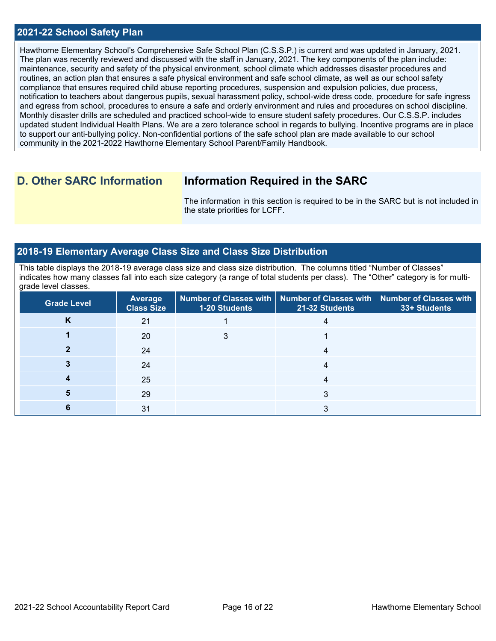#### **2021-22 School Safety Plan**

Hawthorne Elementary School's Comprehensive Safe School Plan (C.S.S.P.) is current and was updated in January, 2021. The plan was recently reviewed and discussed with the staff in January, 2021. The key components of the plan include: maintenance, security and safety of the physical environment, school climate which addresses disaster procedures and routines, an action plan that ensures a safe physical environment and safe school climate, as well as our school safety compliance that ensures required child abuse reporting procedures, suspension and expulsion policies, due process, notification to teachers about dangerous pupils, sexual harassment policy, school-wide dress code, procedure for safe ingress and egress from school, procedures to ensure a safe and orderly environment and rules and procedures on school discipline. Monthly disaster drills are scheduled and practiced school-wide to ensure student safety procedures. Our C.S.S.P. includes updated student Individual Health Plans. We are a zero tolerance school in regards to bullying. Incentive programs are in place to support our anti-bullying policy. Non-confidential portions of the safe school plan are made available to our school community in the 2021-2022 Hawthorne Elementary School Parent/Family Handbook.

# **D. Other SARC Information Information Required in the SARC**

The information in this section is required to be in the SARC but is not included in the state priorities for LCFF.

#### **2018-19 Elementary Average Class Size and Class Size Distribution**

This table displays the 2018-19 average class size and class size distribution. The columns titled "Number of Classes" indicates how many classes fall into each size category (a range of total students per class). The "Other" category is for multigrade level classes.

| <b>Grade Level</b> | <b>Average</b><br><b>Class Size</b> | 1-20 Students | Number of Classes with   Number of Classes with   Number of Classes with<br>21-32 Students | 33+ Students |
|--------------------|-------------------------------------|---------------|--------------------------------------------------------------------------------------------|--------------|
| κ                  | 21                                  |               |                                                                                            |              |
|                    | 20                                  |               |                                                                                            |              |
|                    | 24                                  |               | 4                                                                                          |              |
|                    | 24                                  |               |                                                                                            |              |
|                    | 25                                  |               |                                                                                            |              |
|                    | 29                                  |               | 3                                                                                          |              |
|                    | 31                                  |               |                                                                                            |              |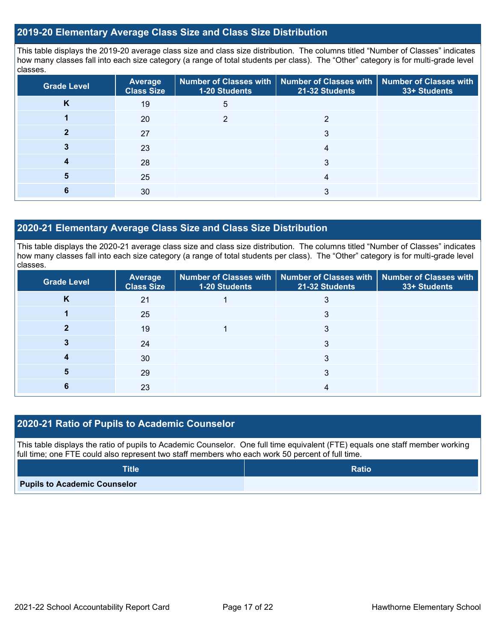#### **2019-20 Elementary Average Class Size and Class Size Distribution**

This table displays the 2019-20 average class size and class size distribution. The columns titled "Number of Classes" indicates how many classes fall into each size category (a range of total students per class). The "Other" category is for multi-grade level classes.

| <b>Grade Level</b> | <b>Average</b><br><b>Class Size</b> | <b>1-20 Students</b> | Number of Classes with   Number of Classes with   Number of Classes with<br>21-32 Students | 33+ Students |
|--------------------|-------------------------------------|----------------------|--------------------------------------------------------------------------------------------|--------------|
| Κ                  | 19                                  | 5                    |                                                                                            |              |
|                    | 20                                  | ◠                    | ◠                                                                                          |              |
|                    | 27                                  |                      | 3                                                                                          |              |
|                    | 23                                  |                      | 4                                                                                          |              |
|                    | 28                                  |                      | 3                                                                                          |              |
| 5                  | 25                                  |                      | 4                                                                                          |              |
|                    | 30                                  |                      | 3                                                                                          |              |

#### **2020-21 Elementary Average Class Size and Class Size Distribution**

This table displays the 2020-21 average class size and class size distribution. The columns titled "Number of Classes" indicates how many classes fall into each size category (a range of total students per class). The "Other" category is for multi-grade level classes.

| <b>Grade Level</b> | <b>Average</b><br><b>Class Size</b> | 1-20 Students | Number of Classes with   Number of Classes with   Number of Classes with<br>21-32 Students | 33+ Students |
|--------------------|-------------------------------------|---------------|--------------------------------------------------------------------------------------------|--------------|
| Κ                  | 21                                  |               |                                                                                            |              |
|                    | 25                                  |               |                                                                                            |              |
|                    | 19                                  |               | 3                                                                                          |              |
|                    | 24                                  |               | 3                                                                                          |              |
|                    | 30                                  |               | 3                                                                                          |              |
|                    | 29                                  |               | 3                                                                                          |              |
|                    | 23                                  |               |                                                                                            |              |

### **2020-21 Ratio of Pupils to Academic Counselor**

This table displays the ratio of pupils to Academic Counselor. One full time equivalent (FTE) equals one staff member working full time; one FTE could also represent two staff members who each work 50 percent of full time.

| <b>Title</b>                        | <b>Ratio</b> |
|-------------------------------------|--------------|
| <b>Pupils to Academic Counselor</b> |              |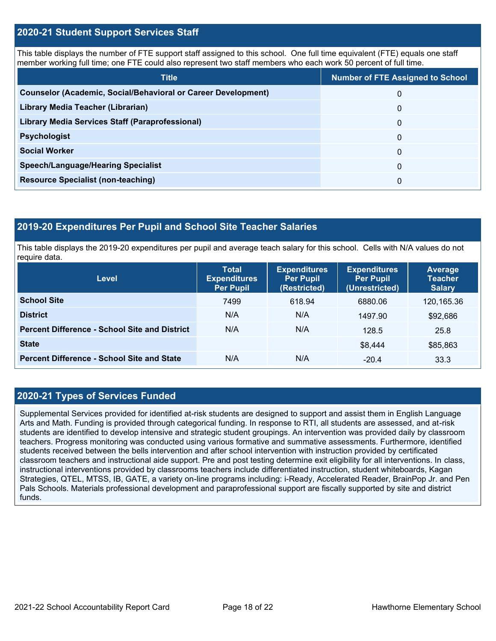#### **2020-21 Student Support Services Staff**

This table displays the number of FTE support staff assigned to this school. One full time equivalent (FTE) equals one staff member working full time; one FTE could also represent two staff members who each work 50 percent of full time.

| <b>Title</b>                                                         | <b>Number of FTE Assigned to School</b> |
|----------------------------------------------------------------------|-----------------------------------------|
| <b>Counselor (Academic, Social/Behavioral or Career Development)</b> | 0                                       |
| Library Media Teacher (Librarian)                                    | 0                                       |
| <b>Library Media Services Staff (Paraprofessional)</b>               | 0                                       |
| <b>Psychologist</b>                                                  | 0                                       |
| <b>Social Worker</b>                                                 | $\Omega$                                |
| <b>Speech/Language/Hearing Specialist</b>                            | $\Omega$                                |
| <b>Resource Specialist (non-teaching)</b>                            | 0                                       |

#### **2019-20 Expenditures Per Pupil and School Site Teacher Salaries**

This table displays the 2019-20 expenditures per pupil and average teach salary for this school. Cells with N/A values do not require data.

| <b>Level</b>                                         | <b>Total</b><br><b>Expenditures</b><br><b>Per Pupil</b> | <b>Expenditures</b><br><b>Per Pupil</b><br>(Restricted) | <b>Expenditures</b><br><b>Per Pupil</b><br>(Unrestricted) | <b>Average</b><br><b>Teacher</b><br><b>Salary</b> |
|------------------------------------------------------|---------------------------------------------------------|---------------------------------------------------------|-----------------------------------------------------------|---------------------------------------------------|
| <b>School Site</b>                                   | 7499                                                    | 618.94                                                  | 6880.06                                                   | 120,165.36                                        |
| <b>District</b>                                      | N/A                                                     | N/A                                                     | 1497.90                                                   | \$92,686                                          |
| <b>Percent Difference - School Site and District</b> | N/A                                                     | N/A                                                     | 128.5                                                     | 25.8                                              |
| <b>State</b>                                         |                                                         |                                                         | \$8,444                                                   | \$85,863                                          |
| <b>Percent Difference - School Site and State</b>    | N/A                                                     | N/A                                                     | $-20.4$                                                   | 33.3                                              |

### **2020-21 Types of Services Funded**

Supplemental Services provided for identified at-risk students are designed to support and assist them in English Language Arts and Math. Funding is provided through categorical funding. In response to RTI, all students are assessed, and at-risk students are identified to develop intensive and strategic student groupings. An intervention was provided daily by classroom teachers. Progress monitoring was conducted using various formative and summative assessments. Furthermore, identified students received between the bells intervention and after school intervention with instruction provided by certificated classroom teachers and instructional aide support. Pre and post testing determine exit eligibility for all interventions. In class, instructional interventions provided by classrooms teachers include differentiated instruction, student whiteboards, Kagan Strategies, QTEL, MTSS, IB, GATE, a variety on-line programs including: i-Ready, Accelerated Reader, BrainPop Jr. and Pen Pals Schools. Materials professional development and paraprofessional support are fiscally supported by site and district funds.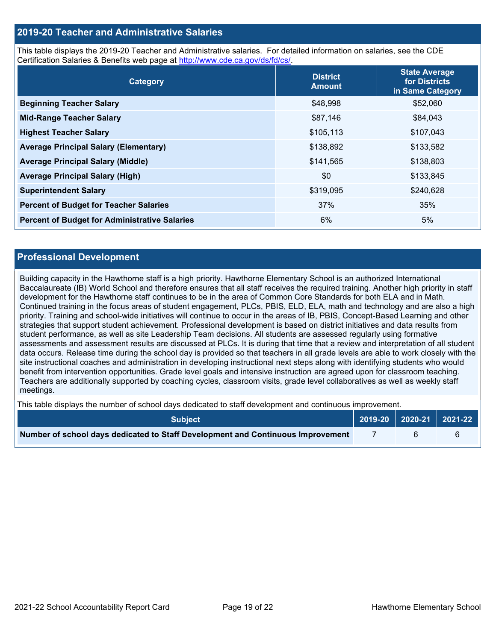#### **2019-20 Teacher and Administrative Salaries**

This table displays the 2019-20 Teacher and Administrative salaries. For detailed information on salaries, see the CDE Certification Salaries & Benefits web page at [http://www.cde.ca.gov/ds/fd/cs/.](http://www.cde.ca.gov/ds/fd/cs/)

| Category                                             | <b>District</b><br><b>Amount</b> | <b>State Average</b><br>for Districts<br>in Same Category |
|------------------------------------------------------|----------------------------------|-----------------------------------------------------------|
| <b>Beginning Teacher Salary</b>                      | \$48,998                         | \$52,060                                                  |
| <b>Mid-Range Teacher Salary</b>                      | \$87,146                         | \$84,043                                                  |
| <b>Highest Teacher Salary</b>                        | \$105,113                        | \$107,043                                                 |
| <b>Average Principal Salary (Elementary)</b>         | \$138,892                        | \$133,582                                                 |
| <b>Average Principal Salary (Middle)</b>             | \$141,565                        | \$138,803                                                 |
| <b>Average Principal Salary (High)</b>               | \$0                              | \$133,845                                                 |
| <b>Superintendent Salary</b>                         | \$319,095                        | \$240,628                                                 |
| <b>Percent of Budget for Teacher Salaries</b>        | 37%                              | 35%                                                       |
| <b>Percent of Budget for Administrative Salaries</b> | 6%                               | 5%                                                        |

#### **Professional Development**

Building capacity in the Hawthorne staff is a high priority. Hawthorne Elementary School is an authorized International Baccalaureate (IB) World School and therefore ensures that all staff receives the required training. Another high priority in staff development for the Hawthorne staff continues to be in the area of Common Core Standards for both ELA and in Math. Continued training in the focus areas of student engagement, PLCs, PBIS, ELD, ELA, math and technology and are also a high priority. Training and school-wide initiatives will continue to occur in the areas of IB, PBIS, Concept-Based Learning and other strategies that support student achievement. Professional development is based on district initiatives and data results from student performance, as well as site Leadership Team decisions. All students are assessed regularly using formative assessments and assessment results are discussed at PLCs. It is during that time that a review and interpretation of all student data occurs. Release time during the school day is provided so that teachers in all grade levels are able to work closely with the site instructional coaches and administration in developing instructional next steps along with identifying students who would benefit from intervention opportunities. Grade level goals and intensive instruction are agreed upon for classroom teaching. Teachers are additionally supported by coaching cycles, classroom visits, grade level collaboratives as well as weekly staff meetings.

This table displays the number of school days dedicated to staff development and continuous improvement.

| <b>Subiect</b>                                                                  | 2019-20   2020-21   2021-22 |  |
|---------------------------------------------------------------------------------|-----------------------------|--|
| Number of school days dedicated to Staff Development and Continuous Improvement |                             |  |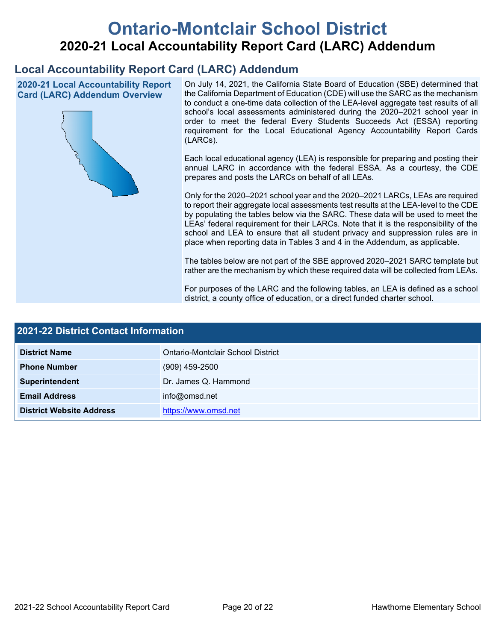# **Ontario-Montclair School District 2020-21 Local Accountability Report Card (LARC) Addendum**

# **Local Accountability Report Card (LARC) Addendum**

**2020-21 Local Accountability Report Card (LARC) Addendum Overview**



On July 14, 2021, the California State Board of Education (SBE) determined that the California Department of Education (CDE) will use the SARC as the mechanism to conduct a one-time data collection of the LEA-level aggregate test results of all school's local assessments administered during the 2020–2021 school year in order to meet the federal Every Students Succeeds Act (ESSA) reporting requirement for the Local Educational Agency Accountability Report Cards (LARCs).

Each local educational agency (LEA) is responsible for preparing and posting their annual LARC in accordance with the federal ESSA. As a courtesy, the CDE prepares and posts the LARCs on behalf of all LEAs.

Only for the 2020–2021 school year and the 2020–2021 LARCs, LEAs are required to report their aggregate local assessments test results at the LEA-level to the CDE by populating the tables below via the SARC. These data will be used to meet the LEAs' federal requirement for their LARCs. Note that it is the responsibility of the school and LEA to ensure that all student privacy and suppression rules are in place when reporting data in Tables 3 and 4 in the Addendum, as applicable.

The tables below are not part of the SBE approved 2020–2021 SARC template but rather are the mechanism by which these required data will be collected from LEAs.

For purposes of the LARC and the following tables, an LEA is defined as a school district, a county office of education, or a direct funded charter school.

| 2021-22 District Contact Information |                                   |  |  |  |
|--------------------------------------|-----------------------------------|--|--|--|
| <b>District Name</b>                 | Ontario-Montclair School District |  |  |  |
| <b>Phone Number</b>                  | $(909)$ 459-2500                  |  |  |  |
| Superintendent                       | Dr. James Q. Hammond              |  |  |  |
| <b>Email Address</b>                 | info@omsd.net                     |  |  |  |
| <b>District Website Address</b>      | https://www.omsd.net              |  |  |  |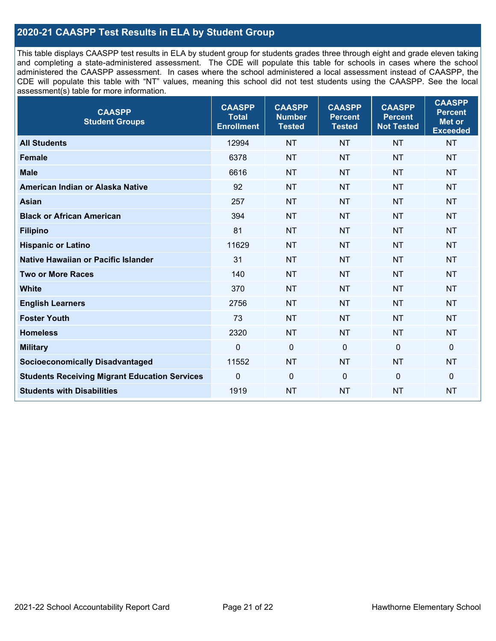## **2020-21 CAASPP Test Results in ELA by Student Group**

This table displays CAASPP test results in ELA by student group for students grades three through eight and grade eleven taking and completing a state-administered assessment. The CDE will populate this table for schools in cases where the school administered the CAASPP assessment. In cases where the school administered a local assessment instead of CAASPP, the CDE will populate this table with "NT" values, meaning this school did not test students using the CAASPP. See the local assessment(s) table for more information.

| <b>CAASPP</b><br><b>Student Groups</b>               | <b>CAASPP</b><br><b>Total</b><br><b>Enrollment</b> | <b>CAASPP</b><br><b>Number</b><br><b>Tested</b> | <b>CAASPP</b><br><b>Percent</b><br><b>Tested</b> | <b>CAASPP</b><br><b>Percent</b><br><b>Not Tested</b> | <b>CAASPP</b><br><b>Percent</b><br>Met or<br><b>Exceeded</b> |
|------------------------------------------------------|----------------------------------------------------|-------------------------------------------------|--------------------------------------------------|------------------------------------------------------|--------------------------------------------------------------|
| <b>All Students</b>                                  | 12994                                              | <b>NT</b>                                       | <b>NT</b>                                        | <b>NT</b>                                            | <b>NT</b>                                                    |
| <b>Female</b>                                        | 6378                                               | <b>NT</b>                                       | <b>NT</b>                                        | <b>NT</b>                                            | <b>NT</b>                                                    |
| <b>Male</b>                                          | 6616                                               | <b>NT</b>                                       | <b>NT</b>                                        | <b>NT</b>                                            | <b>NT</b>                                                    |
| American Indian or Alaska Native                     | 92                                                 | <b>NT</b>                                       | <b>NT</b>                                        | <b>NT</b>                                            | <b>NT</b>                                                    |
| <b>Asian</b>                                         | 257                                                | <b>NT</b>                                       | <b>NT</b>                                        | <b>NT</b>                                            | <b>NT</b>                                                    |
| <b>Black or African American</b>                     | 394                                                | <b>NT</b>                                       | <b>NT</b>                                        | <b>NT</b>                                            | NT                                                           |
| <b>Filipino</b>                                      | 81                                                 | <b>NT</b>                                       | <b>NT</b>                                        | <b>NT</b>                                            | <b>NT</b>                                                    |
| <b>Hispanic or Latino</b>                            | 11629                                              | <b>NT</b>                                       | <b>NT</b>                                        | <b>NT</b>                                            | <b>NT</b>                                                    |
| <b>Native Hawaiian or Pacific Islander</b>           | 31                                                 | <b>NT</b>                                       | <b>NT</b>                                        | <b>NT</b>                                            | <b>NT</b>                                                    |
| <b>Two or More Races</b>                             | 140                                                | <b>NT</b>                                       | <b>NT</b>                                        | <b>NT</b>                                            | <b>NT</b>                                                    |
| <b>White</b>                                         | 370                                                | <b>NT</b>                                       | <b>NT</b>                                        | <b>NT</b>                                            | <b>NT</b>                                                    |
| <b>English Learners</b>                              | 2756                                               | <b>NT</b>                                       | <b>NT</b>                                        | <b>NT</b>                                            | <b>NT</b>                                                    |
| <b>Foster Youth</b>                                  | 73                                                 | <b>NT</b>                                       | <b>NT</b>                                        | <b>NT</b>                                            | <b>NT</b>                                                    |
| <b>Homeless</b>                                      | 2320                                               | <b>NT</b>                                       | <b>NT</b>                                        | <b>NT</b>                                            | <b>NT</b>                                                    |
| <b>Military</b>                                      | $\mathbf 0$                                        | $\mathbf 0$                                     | $\mathbf 0$                                      | $\mathbf 0$                                          | 0                                                            |
| <b>Socioeconomically Disadvantaged</b>               | 11552                                              | <b>NT</b>                                       | <b>NT</b>                                        | <b>NT</b>                                            | <b>NT</b>                                                    |
| <b>Students Receiving Migrant Education Services</b> | $\Omega$                                           | $\mathbf 0$                                     | $\mathbf{0}$                                     | $\Omega$                                             | 0                                                            |
| <b>Students with Disabilities</b>                    | 1919                                               | <b>NT</b>                                       | <b>NT</b>                                        | <b>NT</b>                                            | <b>NT</b>                                                    |